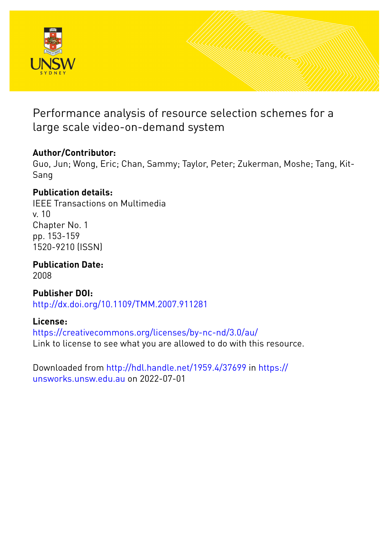

Performance analysis of resource selection schemes for a large scale video-on-demand system

# **Author/Contributor:**

Guo, Jun; Wong, Eric; Chan, Sammy; Taylor, Peter; Zukerman, Moshe; Tang, Kit-Sang

# **Publication details:**

IEEE Transactions on Multimedia v. 10 Chapter No. 1 pp. 153-159 1520-9210 (ISSN)

**Publication Date:** 2008

**Publisher DOI:** [http://dx.doi.org/10.1109/TMM.2007.911281](http://dx.doi.org/http://dx.doi.org/10.1109/TMM.2007.911281)

# **License:**

<https://creativecommons.org/licenses/by-nc-nd/3.0/au/> Link to license to see what you are allowed to do with this resource.

Downloaded from <http://hdl.handle.net/1959.4/37699> in [https://](https://unsworks.unsw.edu.au) [unsworks.unsw.edu.au](https://unsworks.unsw.edu.au) on 2022-07-01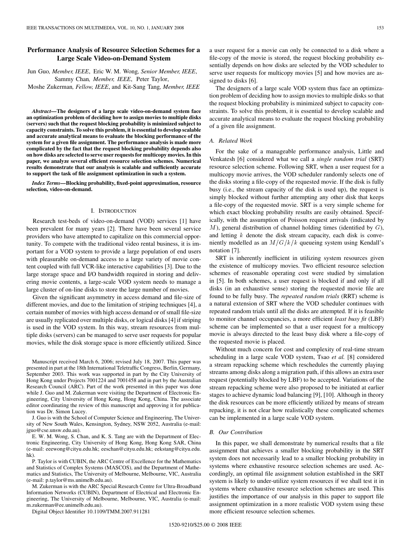# **Performance Analysis of Resource Selection Schemes for a Large Scale Video-on-Demand System**

Jun Guo*, Member, IEEE*, Eric W. M. Wong*, Senior Member, IEEE*, Sammy Chan*, Member, IEEE*, Peter Taylor,

Moshe Zukerman*, Fellow, IEEE*, and Kit-Sang Tang*, Member, IEEE*

*Abstract—***The designers of a large scale video-on-demand system face an optimization problem of deciding how to assign movies to multiple disks (servers) such that the request blocking probability is minimized subject to capacity constraints. To solve this problem, it is essential to develop scalable and accurate analytical means to evaluate the blocking performance of the system for a given file assignment. The performance analysis is made more complicated by the fact that the request blocking probability depends also on how disks are selected to serve user requests for multicopy movies. In this paper, we analyze several efficient resource selection schemes. Numerical results demonstrate that our analysis is scalable and sufficiently accurate to support the task of file assignment optimization in such a system.**

*Index Terms—***Blocking probability, fixed-point approximation, resource selection, video-on-demand.**

#### I. INTRODUCTION

Research test-beds of video-on-demand (VOD) services [1] have been prevalent for many years [2]. There have been several service providers who have attempted to capitalize on this commercial opportunity. To compete with the traditional video rental business, it is important for a VOD system to provide a large population of end users with pleasurable on-demand access to a large variety of movie content coupled with full VCR-like interactive capabilities [3]. Due to the large storage space and I/O bandwidth required in storing and delivering movie contents, a large-scale VOD system needs to manage a large cluster of on-line disks to store the large number of movies.

Given the significant asymmetry in access demand and file-size of different movies, and due to the limitation of striping techniques [4], a certain number of movies with high access demand or of small file-size are usually replicated over multiple disks, or logical disks [4] if striping is used in the VOD system. In this way, stream resources from multiple disks (servers) can be managed to serve user requests for popular movies, while the disk storage space is more efficiently utilized. Since

Manuscript received March 6, 2006; revised July 18, 2007. This paper was presented in part at the 18th International Teletraffic Congress, Berlin, Germany, September 2003. This work was supported in part by the City University of Hong Kong under Projects 7001224 and 7001458 and in part by the Australian Research Council (ARC). Part of the work presented in this paper was done while J. Guo and M. Zukerman were visiting the Department of Electronic Engineering, City University of Hong Kong, Hong Kong, China. The associate editor coordinating the review of this manuscript and approving it for publication was Dr. Simon Lucey.

J. Guo is with the School of Computer Science and Engineering, The University of New South Wales, Kensington, Sydney, NSW 2052, Australia (e-mail: jguo@cse.unsw.edu.au).

E. W. M. Wong, S. Chan, and K. S. Tang are with the Department of Electronic Engineering, City University of Hong Kong, Hong Kong SAR, China (e-mail: eeewong@cityu.edu.hk; eeschan@cityu.edu.hk; eekstang@cityu.edu. hk).

P. Taylor is with CUBIN, the ARC Centre of Excellence for the Mathematics and Statistics of Complex Systems (MASCOS), and the Department of Mathematics and Statistics, The University of Melbourne, Melbourne, VIC, Australia (e-mail: p.taylor@ms.unimelb.edu.au).

M. Zukerman is with the ARC Special Research Centre for Ultra-Broadband Information Networks (CUBIN), Department of Electrical and Electronic Engineering, The University of Melbourne, Melbourne, VIC, Australia (e-mail: m.zukerman@ee.unimelb.edu.au).

Digital Object Identifier 10.1109/TMM.2007.911281

a user request for a movie can only be connected to a disk where a file-copy of the movie is stored, the request blocking probability essentially depends on how disks are selected by the VOD scheduler to serve user requests for multicopy movies [5] and how movies are assigned to disks [6].

The designers of a large scale VOD system thus face an optimization problem of deciding how to assign movies to multiple disks so that the request blocking probability is minimized subject to capacity constraints. To solve this problem, it is essential to develop scalable and accurate analytical means to evaluate the request blocking probability of a given file assignment.

#### *A. Related Work*

For the sake of a manageable performance analysis, Little and Venkatesh [6] considered what we call a *single random trial* (SRT) resource selection scheme. Following SRT, when a user request for a multicopy movie arrives, the VOD scheduler randomly selects one of the disks storing a file-copy of the requested movie. If the disk is fully busy (i.e., the stream capacity of the disk is used up), the request is simply blocked without further attempting any other disk that keeps a file-copy of the requested movie. SRT is a very simple scheme for which exact blocking probability results are easily obtained. Specifically, with the assumption of Poisson request arrivals (indicated by  $M$ ), general distribution of channel holding times (identified by  $G$ ), and letting  $k$  denote the disk stream capacity, each disk is conveniently modelled as an  $M/G/k/k$  queueing system using Kendall's notation [7].

SRT is inherently inefficient in utilizing system resources given the existence of multicopy movies. Two efficient resource selection schemes of reasonable operating cost were studied by simulation in [5]. In both schemes, a user request is blocked if and only if all disks (in an exhaustive sense) storing the requested movie file are found to be fully busy. The *repeated random trials* (RRT) scheme is a natural extension of SRT where the VOD scheduler continues with repeated random trials until all the disks are attempted. If it is feasible to monitor channel occupancies, a more efficient *least busy fit* (LBF) scheme can be implemented so that a user request for a multicopy movie is always directed to the least busy disk where a file-copy of the requested movie is placed.

Without much concern for cost and complexity of real-time stream scheduling in a large scale VOD system, Tsao *et al.* [8] considered a stream repacking scheme which reschedules the currently playing streams among disks along a migration path, if this allows an extra user request (potentially blocked by LBF) to be accepted. Variations of the stream repacking scheme were also proposed to be initiated at earlier stages to achieve dynamic load balancing [9], [10]. Although in theory the disk resources can be more efficiently utilized by means of stream repacking, it is not clear how realistically these complicated schemes can be implemented in a large scale VOD system.

## *B. Our Contribution*

In this paper, we shall demonstrate by numerical results that a file assignment that achieves a smaller blocking probability in the SRT system does not necessarily lead to a smaller blocking probability in systems where exhaustive resource selection schemes are used. Accordingly, an optimal file assignment solution established in the SRT system is likely to under-utilize system resources if we shall test it in systems where exhaustive resource selection schemes are used. This justifies the importance of our analysis in this paper to support file assignment optimization in a more realistic VOD system using these more efficient resource selection schemes.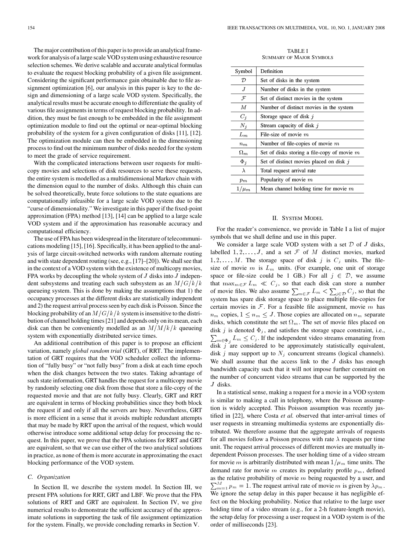The major contribution of this paper is to provide an analytical framework for analysis of a large scale VOD system using exhaustive resource selection schemes. We derive scalable and accurate analytical formulas to evaluate the request blocking probability of a given file assignment. Considering the significant performance gain obtainable due to file assignment optimization [6], our analysis in this paper is key to the design and dimensioning of a large scale VOD system. Specifically, the analytical results must be accurate enough to differentiate the quality of various file assignments in terms of request blocking probability. In addition, they must be fast enough to be embedded in the file assignment optimization module to find out the optimal or near-optimal blocking probability of the system for a given configuration of disks [11], [12]. The optimization module can then be embedded in the dimensioning process to find out the minimum number of disks needed for the system to meet the grade of service requirement.

With the complicated interactions between user requests for multicopy movies and selections of disk resources to serve these requests, the entire system is modelled as a multidimensional Markov chain with the dimension equal to the number of disks. Although this chain can be solved theoretically, brute force solutions to the state equations are computationally infeasible for a large scale VOD system due to the "curse of dimensionality." We investigate in this paper if the fixed-point approximation (FPA) method [13], [14] can be applied to a large scale VOD system and if the approximation has reasonable accuracy and computational efficiency.

The use of FPA has been widespread in the literature of telecommunications modeling [15], [16]. Specifically, it has been applied to the analysis of large circuit-switched networks with random alternate routing and with state dependent routing (see, e.g., [17]–[20]). We shall see that in the context of a VOD system with the existence of multicopy movies, FPA works by decoupling the whole system of  $J$  disks into  $J$  independent subsystems and treating each such subsystem as an  $M/G/k/k$ queueing system. This is done by making the assumptions that 1) the occupancy processes at the different disks are statistically independent and 2) the request arrival process seen by each disk is Poisson. Since the blocking probability of an  $M/G/k/k$  system is insensitive to the distribution of channel holding times [21] and depends only on its mean, each disk can then be conveniently modelled as an  $M/M/k/k$  queueing system with exponentially distributed service times.

An additional contribution of this paper is to propose an efficient variation, namely *global random trial* (GRT), of RRT. The implementation of GRT requires that the VOD scheduler collect the information of "fully busy" or "not fully busy" from a disk at each time epoch when the disk changes between the two states. Taking advantage of such state information, GRT handles the request for a multicopy movie by randomly selecting one disk from those that store a file-copy of the requested movie and that are not fully busy. Clearly, GRT and RRT are equivalent in terms of blocking probabilities since they both block the request if and only if all the servers are busy. Nevertheless, GRT is more efficient in a sense that it avoids multiple redundant attempts that may be made by RRT upon the arrival of the request, which would otherwise introduce some additional setup delay for processing the request. In this paper, we prove that the FPA solutions for RRT and GRT are equivalent, so that we can use either of the two analytical solutions in practice, as none of them is more accurate in approximating the exact blocking performance of the VOD system.

## *C. Organization*

In Section II, we describe the system model. In Section III, we present FPA solutions for RRT, GRT and LBF. We prove that the FPA solutions of RRT and GRT are equivalent. In Section IV, we give numerical results to demonstrate the sufficient accuracy of the approximate solutions in supporting the task of file assignment optimization for the system. Finally, we provide concluding remarks in Section V.

TABLE I SUMMARY OF MAJOR SYMBOLS

| Symbol     | Definition                                    |
|------------|-----------------------------------------------|
| D          | Set of disks in the system                    |
| .J         | Number of disks in the system                 |
| ${\cal F}$ | Set of distinct movies in the system          |
| M          | Number of distinct movies in the system       |
| $C_i$      | Storage space of disk j                       |
| $N_i$      | Stream capacity of disk j                     |
| $L_m$      | File-size of movie $m$                        |
| $n_m$      | Number of file-copies of movie $m$            |
| $\Omega_m$ | Set of disks storing a file-copy of movie $m$ |
| $\Phi_j$   | Set of distinct movies placed on disk $j$     |
| $\lambda$  | Total request arrival rate                    |
| $p_m$      | Popularity of movie $m$                       |
| $1/\mu_m$  | Mean channel holding time for movie $m$       |

### II. SYSTEM MODEL

For the reader's convenience, we provide in Table I a list of major symbols that we shall define and use in this paper.

We consider a large scale VOD system with a set  $D$  of  $J$  disks, labelled  $1, 2, \ldots, J$ , and a set  $\mathcal F$  of  $M$  distinct movies, marked  $1, 2, \ldots, M$ . The storage space of disk j is  $C_j$  units. The filesize of movie  $m$  is  $L_m$  units. (For example, one unit of storage space or file-size could be 1 GB.) For all  $j \in \mathcal{D}$ , we assume that  $\max_{m \in \mathcal{F}} L_m \ll C_j$ , so that each disk can store a number of movie files. We also assume  $\sum_{m \in \mathcal{F}} L_m < \sum_{j \in \mathcal{D}} C_j$ , so that the system has spare disk storage space to place multiple file-copies for certain movies in  $F$ . For a feasible file assignment, movie m has  $n_m$  copies,  $1 \leq n_m \leq J$ . Those copies are allocated on  $n_m$  separate disks, which constitute the set  $\Omega_m$ . The set of movie files placed on disk j is denoted  $\Phi_j$ , and satisfies the storage space constraint, i.e.,  $\sum_{m \in \Phi_i} L_m \leq C_j$ . If the independent video streams emanating from disk  $j$  are considered to be approximately statistically equivalent, disk j may support up to  $N_i$  concurrent streams (logical channels). We shall assume that the access link to the  $J$  disks has enough bandwidth capacity such that it will not impose further constraint on the number of concurrent video streams that can be supported by the J disks.

In a statistical sense, making a request for a movie in a VOD system is similar to making a call in telephony, where the Poisson assumption is widely accepted. This Poisson assumption was recently justified in [22], where Costa *et al.* observed that inter-arrival times of user requests in streaming multimedia systems are exponentially distributed. We therefore assume that the aggregate arrivals of requests for all movies follow a Poisson process with rate  $\lambda$  requests per time unit. The request arrival processes of different movies are mutually independent Poisson processes. The user holding time of a video stream for movie m is arbitrarily distributed with mean  $1/\mu_m$  time units. The demand rate for movie m creates its popularity profile  $p_m$ , defined as the relative probability of movie  $m$  being requested by a user, and  $\sum_{m=1}^{M} p_m = 1$ . The request arrival rate of movie m is given by  $\lambda p_m$ . We ignore the setup delay in this paper because it has negligible effect on the blocking probability. Notice that relative to the large user holding time of a video stream (e.g., for a 2-h feature-length movie), the setup delay for processing a user request in a VOD system is of the order of milliseconds [23].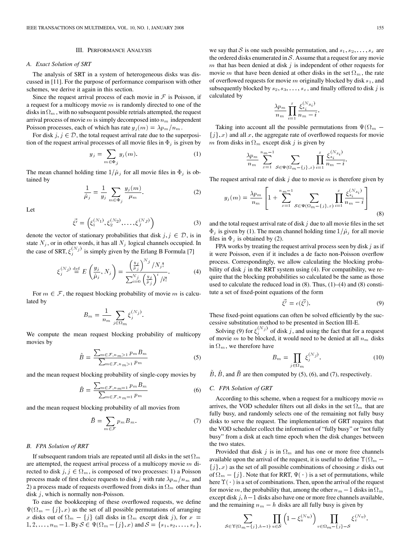### III. PERFORMANCE ANALYSIS

#### *A. Exact Solution of SRT*

The analysis of SRT in a system of heterogeneous disks was discussed in [11]. For the purpose of performance comparison with other schemes, we derive it again in this section.

Since the request arrival process of each movie in  $\mathcal F$  is Poisson, if a request for a multicopy movie  $m$  is randomly directed to one of the disks in  $\Omega_m$  , with no subsequent possible retrials attempted, the request arrival process of movie m is simply decomposed into  $n<sub>m</sub>$  independent Poisson processes, each of which has rate  $y_j(m) = \lambda p_m/n_m$ .

For disk  $j, j \in \mathcal{D}$ , the total request arrival rate due to the superposition of the request arrival processes of all movie files in  $\Phi_i$  is given by

$$
y_j = \sum_{m \in \Phi_j} y_j(m). \tag{1}
$$

The mean channel holding time  $1/\hat{\mu}_j$  for all movie files in  $\Phi_j$  is obtained by

$$
\frac{1}{\hat{\mu}_j} = \frac{1}{y_j} \sum_{m \in \Phi_j} \frac{y_j(m)}{\mu_m}.
$$
 (2)

Let

$$
\vec{\xi'} = \left(\xi_1^{(N_1)}, \xi_2^{(N_2)}, \dots, \xi_J^{(N_J)}\right)
$$
 (3)

denote the vector of stationary probabilities that disk  $j, j \in \mathcal{D}$ , is in state  $N_j$ , or in other words, it has all  $N_j$  logical channels occupied. In the case of SRT,  $\xi_j^{(N_j)}$  is simply given by the Erlang B Formula [7]

$$
\xi_j^{(N_j)} \stackrel{\text{def}}{=} E\left(\frac{y_j}{\hat{\mu}_j}, N_j\right) = \frac{\left(\frac{y_j}{\hat{\mu}_j}\right)^{N_j}/N_j!}{\sum_{i=0}^{N_j} \left(\frac{y_j}{\hat{\mu}_j}\right)^i/i!}.
$$
 (4)

For  $m \in \mathcal{F}$ , the request blocking probability of movie m is calculated by

$$
B_m = \frac{1}{n_m} \sum_{j \in \Omega_m} \xi_j^{(N_j)}.
$$

We compute the mean request blocking probability of multicopy movies by

$$
\tilde{B} = \frac{\sum_{m \in \mathcal{F}, n_m > 1} p_m B_m}{\sum_{m \in \mathcal{F}, n_m > 1} p_m} \tag{5}
$$

and the mean request blocking probability of single-copy movies by

$$
\hat{B} = \frac{\sum_{m \in \mathcal{F}, n_m = 1} p_m B_m}{\sum_{m \in \mathcal{F}, n_m = 1} p_m} \tag{6}
$$

and the mean request blocking probability of all movies from

$$
\bar{B} = \sum_{m \in \mathcal{F}} p_m B_m. \tag{7}
$$

#### *B. FPA Solution of RRT*

If subsequent random trials are repeated until all disks in the set  $\Omega_m$ are attempted, the request arrival process of a multicopy movie  $m$  directed to disk  $j, j \in \Omega_m$ , is composed of two processes: 1) a Poisson process made of first choice requests to disk j with rate  $\lambda p_m/n_m$  and 2) a process made of requests overflowed from disks in  $\Omega_m$  other than disk  $j$ , which is normally non-Poisson.

To ease the bookkeeping of these overflowed requests, we define  $\Psi(\Omega_m - \{j\}, x)$  as the set of all possible permutations of arranging x disks out of  $\Omega_m - \{j\}$  (all disks in  $\Omega_m$  except disk j), for  $x =$  $1, 2, \ldots, n_m - 1$ . By  $S \in \Psi(\Omega_m - \{j\}, x)$  and  $S = \{s_1, s_2, \ldots, s_x\},$  we say that S is one such possible permutation, and  $s_1, s_2, \ldots, s_x$  are the ordered disks enumerated in  $S$ . Assume that a request for any movie  $m$  that has been denied at disk  $j$  is independent of other requests for movie m that have been denied at other disks in the set  $\Omega_m$ , the rate of overflowed requests for movie  $m$  originally blocked by disk  $s<sub>1</sub>$ , and subsequently blocked by  $s_2, s_3, \ldots, s_x$ , and finally offered to disk j is calculated by

$$
\frac{\lambda p_m}{n_m} \prod_{i=1}^x \frac{\xi_{s_i}^{(N_{s_i})}}{n_m - i}.
$$

Taking into account all the possible permutations from  $\Psi(\Omega_m \{j\}$ , x) and all x, the aggregate rate of overflowed requests for movie m from disks in  $\Omega_m$  except disk j is given by

$$
\frac{\lambda p_m}{n_m} \sum_{x=1}^{n_m-1} \sum_{S \in \Psi(\Omega_m - \{j\}, x)} \prod_{i=1}^x \frac{\xi_{s_i}^{(N_{s_i})}}{n_m - i}.
$$

The request arrival rate of disk  $j$  due to movie  $m$  is therefore given by

$$
y_j(m) = \frac{\lambda p_m}{n_m} \left[ 1 + \sum_{x=1}^{n_m - 1} \sum_{\mathcal{S} \in \Psi(\Omega_m - \{j\}, x)} \prod_{i=1}^x \frac{\xi_{s_i}^{(N_{s_i})}}{n_m - i} \right]
$$
(8)

and the total request arrival rate of disk  $i$  due to all movie files in the set  $\Phi_j$  is given by (1). The mean channel holding time  $1/\hat{\mu}_j$  for all movie files in  $\Phi_i$  is obtained by (2).

FPA works by treating the request arrival process seen by disk  $j$  as if it were Poisson, even if it includes a de facto non-Poisson overflow process. Correspondingly, we allow calculating the blocking probability of disk  $j$  in the RRT system using (4). For compatibility, we require that the blocking probabilities so calculated be the same as those used to calculate the reduced load in (8). Thus, (1)–(4) and (8) constitute a set of fixed-point equations of the form

$$
\vec{\xi'} = e(\vec{\xi'})
$$
 (9)

These fixed-point equations can often be solved efficiently by the successive substitution method to be presented in Section III-E.

Solving (9) for  $\xi_j^{(N_j)}$  of disk j, and using the fact that for a request of movie m to be blocked, it would need to be denied at all  $n_m$  disks in  $\Omega_m$ , we therefore have

$$
B_m = \prod_{j \in \Omega_m} \xi_j^{(N_j)}.
$$
 (10)

 $\tilde{B}, \tilde{B},$  and  $\bar{B}$  are then computed by (5), (6), and (7), respectively.

# *C. FPA Solution of GRT*

According to this scheme, when a request for a multicopy movie m arrives, the VOD scheduler filters out all disks in the set  $\Omega_m$  that are fully busy, and randomly selects one of the remaining not fully busy disks to serve the request. The implementation of GRT requires that the VOD scheduler collect the information of "fully busy" or "not fully busy" from a disk at each time epoch when the disk changes between the two states.

Provided that disk j is in  $\Omega_m$  and has one or more free channels available upon the arrival of the request, it is useful to define  $\Upsilon(\Omega_m - )$  $\{j\}, x$  as the set of all possible combinations of choosing x disks out of  $\Omega_m - \{j\}$ . Note that for RRT,  $\Psi(\cdot)$  is a set of permutations, while here  $\Upsilon(\cdot)$  is a set of combinations. Then, upon the arrival of the request for movie m, the probability that, among the other  $n_m - 1$  disks in  $\Omega_m$ except disk j,  $h-1$  disks also have one or more free channels available, and the remaining  $n_m - h$  disks are all fully busy is given by

$$
\sum_{\mathcal{S}\in\Upsilon(\Omega_m-\{j\},h-1)}\prod_{u\in\mathcal{S}}\left(1-\xi_u^{(N_u)}\right)\prod_{v\in\Omega_m-\{j\}-\mathcal{S}}\xi_v^{(N_v)}.
$$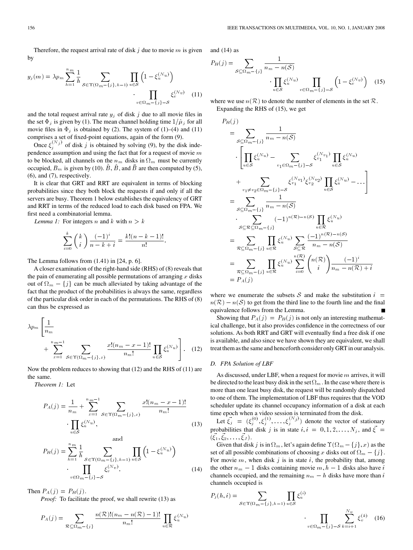Therefore, the request arrival rate of disk  $j$  due to movie  $m$  is given by

$$
y_j(m) = \lambda p_m \sum_{h=1}^{n_m} \frac{1}{h} \sum_{S \in \Upsilon(\Omega_m - \{j\}, h-1)} \prod_{u \in S} \left(1 - \xi_u^{(N_u)}\right) \cdot \prod_{v \in \Omega_m - \{j\} - S} \xi_v^{(N_v)} \quad (11)
$$

and the total request arrival rate  $y_j$  of disk j due to all movie files in the set  $\Phi_i$  is given by (1). The mean channel holding time  $1/\hat{\mu}_i$  for all movie files in  $\Phi_j$  is obtained by (2). The system of (1)–(4) and (11) comprises a set of fixed-point equations, again of the form (9).

Once  $\xi_j^{(N_j)}$  of disk j is obtained by solving (9), by the disk independence assumption and using the fact that for a request of movie  $m$ to be blocked, all channels on the  $n_m$  disks in  $\Omega_m$  must be currently occupied,  $B_m$  is given by (10).  $B, B$ , and  $B$  are then computed by (5), (6), and (7), respectively.

It is clear that GRT and RRT are equivalent in terms of blocking probabilities since they both block the requests if and only if all the servers are busy. Theorem 1 below establishes the equivalency of GRT and RRT in terms of the reduced load to each disk based on FPA. We first need a combinatorial lemma.

*Lemma 1:* For integers *n* and *k* with  $n > k$ 

$$
\sum_{i=0}^{k} {k \choose i} \frac{(-1)^i}{n-k+i} = \frac{k!(n-k-1)!}{n!}.
$$

The Lemma follows from (1.41) in [24, p. 6].

A closer examination of the right-hand side (RHS) of (8) reveals that the pain of enumerating all possible permutations of arranging  $x$  disks out of  $\Omega_m - \{j\}$  can be much alleviated by taking advantage of the fact that the product of the probabilities is always the same, regardless of the particular disk order in each of the permutations. The RHS of (8) can thus be expressed as

$$
\lambda p_m \left[ \frac{1}{n_m} + \sum_{x=1}^{n_m - 1} \sum_{S \in \Upsilon(\Omega_m - \{j\}, x)} \frac{x!(n_m - x - 1)!}{n_m!} \prod_{u \in S} \xi_u^{(N_u)} \right].
$$
 (12)

Now the problem reduces to showing that (12) and the RHS of (11) are the same.

*Theorem 1:* Let

$$
P_A(j) = \frac{1}{n_m} + \sum_{x=1}^{n_m - 1} \sum_{S \in \Upsilon(\Omega_m - \{j\}, x)} \frac{x!(n_m - x - 1)!}{n_m!}
$$

$$
\cdot \prod_{u \in S} \xi_u^{(N_u)},
$$
(13)

and

$$
P_B(j) = \sum_{h=1}^{n_m} \frac{1}{h} \sum_{\substack{S \in \Upsilon(\Omega_m - \{j\}, h-1) \\ \vdots \\ \substack{v \in \Omega_m - \{j\} - S}} \prod_{u \in S} \left(1 - \xi_u^{(N_u)}\right)
$$
(14)

Then  $P_A(j) = P_B(j)$ .

*Proof:* To facilitate the proof, we shall rewrite (13) as

$$
P_A(j) = \sum_{\mathcal{R} \subseteq \Omega_m - \{j\}} \frac{n(\mathcal{R})!(n_m - n(\mathcal{R}) - 1)!}{n_m!} \prod_{u \in \mathcal{R}} \xi_u^{(N_u)}
$$

and (14) as

$$
P_B(j) = \sum_{\mathcal{S} \subseteq \Omega_m - \{j\}} \frac{1}{n_m - n(\mathcal{S})} \cdot \prod_{u \in \mathcal{S}} \xi_u^{(N_u)} \prod_{v \in \Omega_m - \{j\} - \mathcal{S}} \left(1 - \xi_v^{(N_v)}\right) \tag{15}
$$

where we use  $n(\mathcal{R})$  to denote the number of elements in the set  $\mathcal{R}$ . Expanding the RHS of (15), we get

$$
P_B(j)
$$
  
\n
$$
= \sum_{S \subseteq \Omega_m - \{j\}} \frac{1}{n_m - n(S)}
$$
  
\n
$$
\left[ \prod_{u \in S} \xi_u^{(N_u)} - \sum_{v_1 \in \Omega_m - \{j\} - S} \xi_{v_1}^{(N_v_1)} \prod_{u \in S} \xi_u^{(N_u)}
$$
  
\n
$$
+ \sum_{v_1 \neq v_2 \in \Omega_m - \{j\} - S} \xi_{v_1}^{(N_v_1)} \xi_{v_2}^{(N_v_2)} \prod_{u \in S} \xi_u^{(N_u)} - \dots \right]
$$
  
\n
$$
= \sum_{S \subseteq \Omega_m - \{j\}} \frac{1}{n_m - n(S)}
$$
  
\n
$$
\cdot \sum_{S \subseteq \Omega_m - \{j\}} (-1)^{n(R) - n(S)} \prod_{u \in R} \xi_u^{(N_u)}
$$
  
\n
$$
= \sum_{R \subseteq \Omega_m - \{j\}} \prod_{u \in R} \xi_u^{(N_u)} \sum_{S \subseteq R} \frac{(-1)^{n(R) - n(S)}}{n_m - n(S)}
$$
  
\n
$$
= \sum_{R \subseteq \Omega_m - \{j\}} \prod_{u \in R} \xi_u^{(N_u)} \sum_{i=0}^{n(R)} \binom{n(R)}{i} \frac{(-1)^i}{n_m - n(R) + i}
$$
  
\n
$$
= P_A(j)
$$

where we enumerate the subsets S and make the substitution  $i =$  $n(\mathcal{R}) - n(\mathcal{S})$  to get from the third line to the fourth line and the final equivalence follows from the Lemma.

Showing that  $P_A(j) = P_B(j)$  is not only an interesting mathematical challenge, but it also provides confidence in the correctness of our solutions. As both RRT and GRT will eventually find a free disk if one is available, and also since we have shown they are equivalent, we shall treat them as the same and henceforth consider only GRT in our analysis.

#### *D. FPA Solution of LBF*

As discussed, under LBF, when a request for movie m arrives, it will be directed to the least busy disk in the set  $\Omega_m$  . In the case where there is more than one least busy disk, the request will be randomly dispatched to one of them. The implementation of LBF thus requires that the VOD scheduler update its channel occupancy information of a disk at each time epoch when a video session is terminated from the disk.

Let  $\vec{\xi}_j = (\xi_j^{(0)}, \xi_j^{(1)}, \dots, \xi_j^{(N_j)})$  denote the vector of stationary probabilities that disk j is in state  $i, i = 0, 1, 2, \ldots, N_i$ , and  $\vec{\xi} =$  $({\vec{\xi}_1}, {\vec{\xi}_2}, \ldots, {\vec{\xi}_J}).$ 

Given that disk j is in  $\Omega_m$ , let's again define  $\Upsilon(\Omega_m - \{j\}, x)$  as the set of all possible combinations of choosing x disks out of  $\Omega_m - \{j\}$ . For movie m, when disk j is in state i, the probability that, among the other  $n_m - 1$  disks containing movie  $m, h - 1$  disks also have i channels occupied, and the remaining  $n_m - h$  disks have more than i channels occupied is

$$
P_j(h, i) = \sum_{\mathcal{S} \in \Upsilon(\Omega_m - \{j\}, h-1)} \prod_{u \in \mathcal{S}} \xi_u^{(i)}
$$

$$
\prod_{v \in \Omega_m - \{j\} - \mathcal{S}} \sum_{k=i+1}^{N_v} \xi_v^{(k)} \quad (16)
$$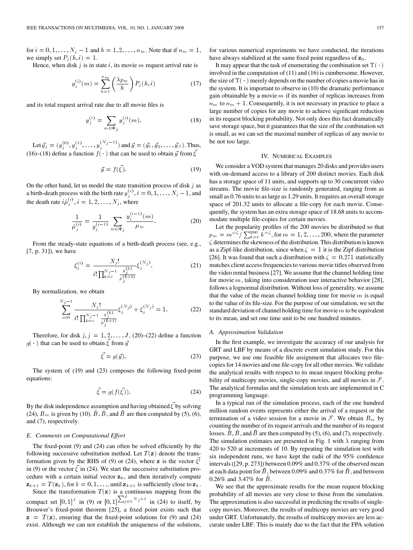for  $i = 0, 1, ..., N_j - 1$  and  $h = 1, 2, ..., n_m$ . Note that if  $n_m = 1$ , we simply set  $P_i(h, i)=1$ .

Hence, when disk  $j$  is in state  $i$ , its movie  $m$  request arrival rate is

$$
y_j^{(i)}(m) = \sum_{h=1}^{nm} \left(\frac{\lambda p_m}{h}\right) P_j(h, i)
$$
 (17)

and its total request arrival rate due to all movie files is

$$
y_j^{(i)} = \sum_{m \in \Phi_j} y_j^{(i)}(m).
$$
 (18)

Let  $\vec{y}_j = (y_j^{(0)}, y_j^{(1)}, \dots, y_j^{(N_j-1)})$  and  $\vec{y} = (\vec{y}_1, \vec{y}_2, \dots, \vec{y}_J)$ . Thus, (16)–(18) define a function  $f(\cdot)$  that can be used to obtain  $\vec{y}$  from  $\vec{\xi}$ 

$$
\vec{y} = f(\vec{\xi}).\tag{19}
$$

On the other hand, let us model the state transition process of disk  $j$  as a birth-death process with the birth rate  $y_j^{(i)}$ ,  $i = 0, 1, \ldots, N_j - 1$ , and the death rate  $i\hat{\mu}_j^{(i)}$ ,  $i = 1, 2, \dots, N_j$ , where

$$
\frac{1}{\hat{\mu}_j^{(i)}} = \frac{1}{y_j^{(i-1)}} \sum_{m \in \Phi_j} \frac{y_j^{(i-1)}(m)}{\mu_m}.
$$
 (20)

From the steady-state equations of a birth-death process (see, e.g., [7, p. 31]), we have

$$
\xi_j^{(i)} = \frac{N_j!}{i! \prod_{k=i}^{N_j-1} \frac{y_j^{(k)}}{\hat{\mu}_j^{(k+1)}}} \xi_j^{(N_j)}.
$$
 (21)

By normalization, we obtain

$$
\sum_{i=0}^{N_j-1} \frac{N_j!}{i! \prod_{k=i}^{N_j-1} \frac{y_j^{(k)}}{\hat{\mu}_j^{(k+1)}}} \xi_j^{(N_j)} + \xi_j^{(N_j)} = 1.
$$
 (22)

Therefore, for disk  $j, j = 1, 2, \ldots, J$ , (20)–(22) define a function  $g(\cdot)$  that can be used to obtain  $\vec{\xi}$  from  $\vec{y}$ 

$$
\vec{\xi} = g(\vec{y}).\tag{23}
$$

The system of (19) and (23) composes the following fixed-point equations:

$$
\vec{\xi} = g(f(\vec{\xi}))
$$
\n(24)

By the disk independence assumption and having obtained  $\vec{\xi}$  by solving (24),  $B_m$  is given by (10).  $\hat{B}$ ,  $\hat{B}$ , and  $\bar{B}$  are then computed by (5), (6), and (7), respectively.

#### *E. Comments on Computational Effort*

The fixed-point (9) and (24) can often be solved efficiently by the following successive substitution method. Let  $T(\mathbf{z})$  denote the transformation given by the RHS of (9) or (24), where z is the vector  $\xi'$ in (9) or the vector  $\vec{\xi}$  in (24). We start the successive substitution procedure with a certain initial vector  $z_0$ , and then iteratively compute  $\mathbf{z}_{k+1} = T(\mathbf{z}_k)$ , for  $k = 0, 1, \dots$ , until  $\mathbf{z}_{k+1}$  is sufficiently close to  $\mathbf{z}_k$ . Since the transformation  $T(z)$  is a continuous mapping from the

compact set  $[0, 1]^J$  in (9) or  $[0, 1]^{\sum_{j=1}^J N_j + 1}$  in (24) to itself, by Brouwer's fixed-point theorem [25], a fixed point exists such that  $z = T(z)$ , ensuring that the fixed-point solutions for (9) and (24) exist. Although we can not establish the uniqueness of the solutions, for various numerical experiments we have conducted, the iterations have always stabilized at the same fixed point regardless of  $z_0$ .

It may appear that the task of enumerating the combination set  $\Upsilon(\cdot)$ involved in the computation of (11) and (16) is cumbersome. However, the size of  $\Upsilon$   $\cdot$  ) merely depends on the number of copies a movie has in the system. It is important to observe in (10) the dramatic performance gain obtainable by a movie  $m$  if its number of replicas increases from  $n_m$  to  $n_m + 1$ . Consequently, it is not necessary in practice to place a large number of copies for any movie to achieve significant reduction in its request blocking probability. Not only does this fact dramatically save storage space, but it guarantees that the size of the combination set is small, as we can set the maximal number of replicas of any movie to be not too large.

### IV. NUMERICAL EXAMPLES

We consider a VOD system that manages 20 disks and provides users with on-demand access to a library of 200 distinct movies. Each disk has a storage space of 11 units, and supports up to 30 concurrent video streams. The movie file-size is randomly generated, ranging from as small as 0.76 units to as large as 1.29 units. It requires an overall storage space of 201.32 units to allocate a file-copy for each movie. Consequently, the system has an extra storage space of 18.68 units to accommodate multiple file-copies for certain movies.

Let the popularity profiles of the 200 movies be distributed so that  $p_m = m^{-\zeta}/\sum_{k=1}^{200} k^{-\zeta}$ , for  $m = 1, 2, \ldots, 200$ , where the parameter  $\zeta$  determines the skewness of the distribution. This distribution is known as a Zipf-like distribution, since when  $\zeta = 1$  it is the Zipf distribution [26]. It was found that such a distribution with  $\zeta = 0.271$  statistically matches client access frequencies to various movie titles observed from the video rental business [27]. We assume that the channel holding time for movie  $m$ , taking into consideration user interactive behavior [28], follows a lognormal distribution. Without loss of generality, we assume that the value of the mean channel holding time for movie  $m$  is equal to the value of its file-size. For the purpose of our simulation, we set the standard deviation of channel holding time for movie  $m$  to be equivalent to its mean, and set one time unit to be one hundred minutes.

## *A. Approximation Validation*

In the first example, we investigate the accuracy of our analysis for GRT and LBF by means of a discrete event simulation study. For this purpose, we use one feasible file assignment that allocates two filecopies for 14 movies and one file-copy for all other movies. We validate the analytical results with respect to its mean request blocking probability of multicopy movies, single-copy movies, and all movies in  $\mathcal{F}$ . The analytical formulas and the simulation tests are implemented in C programming language.

In a typical run of the simulation process, each of the one hundred million random events represents either the arrival of a request or the termination of a video session for a movie in  $\mathcal F$ . We obtain  $B_m$  by counting the number of its request arrivals and the number of its request losses.  $B$ ,  $B$ , and  $B$  are then computed by (5), (6), and (7), respectively. The simulation estimates are presented in Fig. 1 with  $\lambda$  ranging from 420 to 520 at increments of 10. By repeating the simulation test with six independent runs, we have kept the radii of the 95% confidence intervals ([29, p. 273]) between 0.09% and 0.37% of the observed mean at each data point for  $\bar{B}$ , between 0.09% and 0.37% for  $\bar{B}$ , and between 0.26% and 3.47% for  $B$ .

We see that the approximate results for the mean request blocking probability of all movies are very close to those from the simulation. The approximation is also successful in predicting the results of singlecopy movies. Moreover, the results of multicopy movies are very good under GRT. Unfortunately, the results of multicopy movies are less accurate under LBF. This is mainly due to the fact that the FPA solution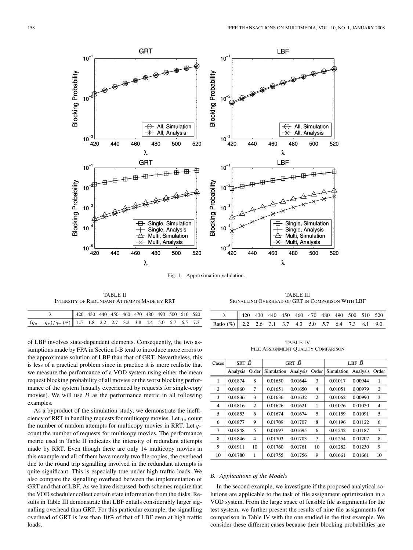

Fig. 1. Approximation validation.

TABLE II INTENSITY OF REDUNDANT ATTEMPTS MADE BY RRT

|                                                                 | $\parallel$ 420 430 440 450 460 470 480 490 500 510 520 |  |  |  |  |  |
|-----------------------------------------------------------------|---------------------------------------------------------|--|--|--|--|--|
| $(q_a-q_r)/q_r$ (%) 1.5 1.8 2.2 2.7 3.2 3.8 4.4 5.0 5.7 6.5 7.3 |                                                         |  |  |  |  |  |

of LBF involves state-dependent elements. Consequently, the two assumptions made by FPA in Section I-B tend to introduce more errors to the approximate solution of LBF than that of GRT. Nevertheless, this is less of a practical problem since in practice it is more realistic that we measure the performance of a VOD system using either the mean request blocking probability of all movies or the worst blocking performance of the system (usually experienced by requests for single-copy INTENSITY OF REDUNDANT ATTEMPTS MADE BY RRT<br>  $\frac{\lambda}{(q_a - q_r)/q_r}$  (%) 1.5 1.8 2.2 2.7 3.2 3.8 4.4 5.0 5.7 6.5 7.3<br>
of LBF involves state-dependent elements. Consequently, the two assumptions made by FPA in Section I-B tend t examples.

As a byproduct of the simulation study, we demonstrate the inefficiency of RRT in handling requests for multicopy movies. Let  $q_a$  count the number of random attempts for multicopy movies in RRT. Let  $q_r$ count the number of requests for multicopy movies. The performance metric used in Table II indicates the intensity of redundant attempts made by RRT. Even though there are only 14 multicopy movies in this example and all of them have merely two file-copies, the overhead due to the round trip signalling involved in the redundant attempts is quite significant. This is especially true under high traffic loads. We also compare the signalling overhead between the implementation of GRT and that of LBF. As we have discussed, both schemes require that the VOD scheduler collect certain state information from the disks. Results in Table III demonstrate that LBF entails considerably larger signalling overhead than GRT. For this particular example, the signalling overhead of GRT is less than 10% of that of LBF even at high traffic loads.

TABLE III SIGNALLING OVERHEAD OF GRT IN COMPARISON WITH LBF

| $\lambda$   420 430 440 450 460 470 480 490 500 510 520 |  |  |  |  |  |  |
|---------------------------------------------------------|--|--|--|--|--|--|
| Ratio (%) 2.2 2.6 3.1 3.7 4.3 5.0 5.7 6.4 7.3 8.1 9.0   |  |  |  |  |  |  |

TABLE IV FILE ASSIGNMENT QUALITY COMPARISON

| Cases          | SRT B    |                | $GRT \overline{B}$ |          |                | $LBF$ $B$  |          |                |
|----------------|----------|----------------|--------------------|----------|----------------|------------|----------|----------------|
|                | Analysis | Order          | Simulation         | Analysis | Order          | Simulation | Analysis | Order          |
| 1              | 0.01874  | 8              | 0.01650            | 0.01644  | 3              | 0.01017    | 0.00944  | 1              |
| $\overline{2}$ | 0.01860  | 7              | 0.01651            | 0.01650  | $\overline{4}$ | 0.01051    | 0.00979  | $\overline{2}$ |
| 3              | 0.01836  | 3              | 0.01636            | 0.01632  | 2              | 0.01062    | 0.00990  | 3              |
| $\overline{4}$ | 0.01816  | $\overline{c}$ | 0.01626            | 0.01621  | 1              | 0.01076    | 0.01020  | $\overline{4}$ |
| 5              | 0.01853  | 6              | 0.01674            | 0.01674  | 5              | 0.01159    | 0.01091  | 5              |
| 6              | 0.01877  | 9              | 0.01709            | 0.01707  | 8              | 0.01196    | 0.01122  | 6              |
| 7              | 0.01848  | 5              | 0.01697            | 0.01695  | 6              | 0.01242    | 0.01187  | 7              |
| 8              | 0.01846  | $\overline{4}$ | 0.01703            | 0.01703  | 7              | 0.01254    | 0.01207  | 8              |
| 9              | 0.01911  | 10             | 0.01760            | 0.01761  | 10             | 0.01282    | 0.01230  | 9              |
| 10             | 0.01780  | 1              | 0.01755            | 0.01756  | 9              | 0.01661    | 0.01661  | 10             |

## *B. Applications of the Models*

In the second example, we investigate if the proposed analytical solutions are applicable to the task of file assignment optimization in a VOD system. From the large space of feasible file assignments for the test system, we further present the results of nine file assignments for comparison in Table IV with the one studied in the first example. We consider these different cases because their blocking probabilities are